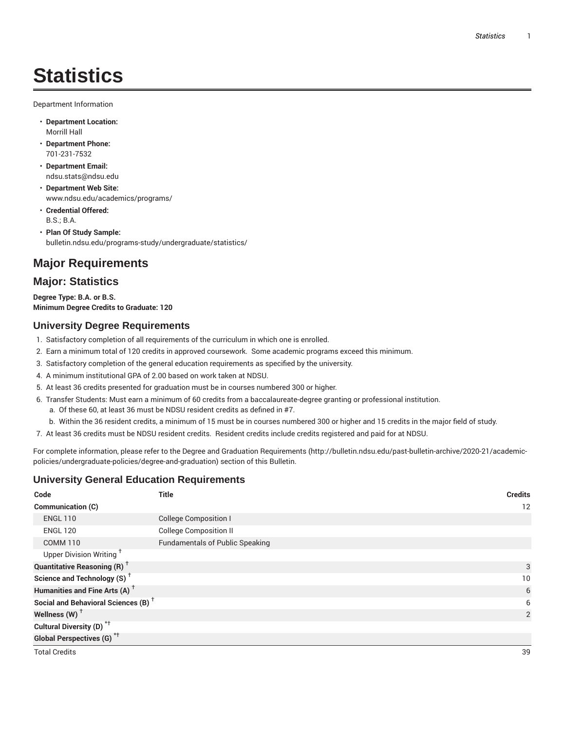# **Statistics**

Department Information

- **Department Location:** Morrill Hall
- **Department Phone:** 701-231-7532
- **Department Email:** ndsu.stats@ndsu.edu
- **Department Web Site:** www.ndsu.edu/academics/programs/
- **Credential Offered:** B.S.; B.A.
- **Plan Of Study Sample:** bulletin.ndsu.edu/programs-study/undergraduate/statistics/

## **Major Requirements**

#### **Major: Statistics**

**Degree Type: B.A. or B.S. Minimum Degree Credits to Graduate: 120**

#### **University Degree Requirements**

- 1. Satisfactory completion of all requirements of the curriculum in which one is enrolled.
- 2. Earn a minimum total of 120 credits in approved coursework. Some academic programs exceed this minimum.
- 3. Satisfactory completion of the general education requirements as specified by the university.
- 4. A minimum institutional GPA of 2.00 based on work taken at NDSU.
- 5. At least 36 credits presented for graduation must be in courses numbered 300 or higher.
- 6. Transfer Students: Must earn a minimum of 60 credits from a baccalaureate-degree granting or professional institution.
	- a. Of these 60, at least 36 must be NDSU resident credits as defined in #7.
	- b. Within the 36 resident credits, a minimum of 15 must be in courses numbered 300 or higher and 15 credits in the major field of study.
- 7. At least 36 credits must be NDSU resident credits. Resident credits include credits registered and paid for at NDSU.

For complete information, please refer to the Degree and Graduation Requirements (http://bulletin.ndsu.edu/past-bulletin-archive/2020-21/academicpolicies/undergraduate-policies/degree-and-graduation) section of this Bulletin.

#### **University General Education Requirements**

| Code                                            | <b>Title</b>                           | <b>Credits</b> |
|-------------------------------------------------|----------------------------------------|----------------|
| Communication (C)                               |                                        | 12             |
| <b>ENGL 110</b>                                 | <b>College Composition I</b>           |                |
| <b>ENGL 120</b>                                 | <b>College Composition II</b>          |                |
| <b>COMM 110</b>                                 | <b>Fundamentals of Public Speaking</b> |                |
| Upper Division Writing <sup>†</sup>             |                                        |                |
| <b>Quantitative Reasoning (R)</b> <sup>†</sup>  |                                        | 3              |
| Science and Technology (S) <sup>+</sup>         |                                        | 10             |
| Humanities and Fine Arts (A) <sup>+</sup>       |                                        | 6              |
| Social and Behavioral Sciences (B) <sup>+</sup> |                                        | 6              |
| Wellness $(W)$ <sup>+</sup>                     |                                        | $\overline{2}$ |
| Cultural Diversity (D) <sup>*†</sup>            |                                        |                |
| <b>Global Perspectives (G)</b> <sup>*†</sup>    |                                        |                |
| <b>Total Credits</b>                            |                                        | 39             |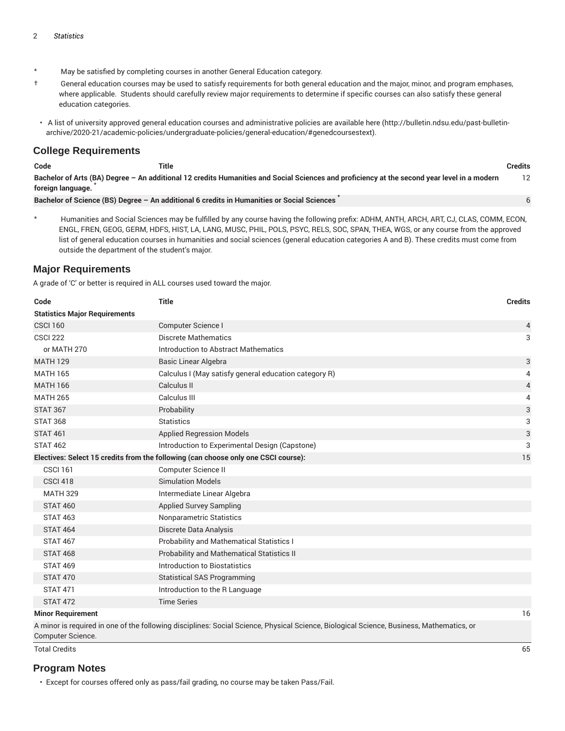- May be satisfied by completing courses in another General Education category.
- † General education courses may be used to satisfy requirements for both general education and the major, minor, and program emphases, where applicable. Students should carefully review major requirements to determine if specific courses can also satisfy these general education categories.
- A list of university approved general education courses and administrative policies are available here (http://bulletin.ndsu.edu/past-bulletinarchive/2020-21/academic-policies/undergraduate-policies/general-education/#genedcoursestext).

#### **College Requirements**

| æ. | י הר |  |  |
|----|------|--|--|

**Code Title Credits**

Bachelor of Arts (BA) Degree - An additional 12 credits Humanities and Social Sciences and proficiency at the second year level in a modern **foreign language.** \* 12 6

**Bachelor of Science (BS) Degree – An additional 6 credits in Humanities or Social Sciences** \*

\* Humanities and Social Sciences may be fulfilled by any course having the following prefix: ADHM, ANTH, ARCH, ART, CJ, CLAS, COMM, ECON, ENGL, FREN, GEOG, GERM, HDFS, HIST, LA, LANG, MUSC, PHIL, POLS, PSYC, RELS, SOC, SPAN, THEA, WGS, or any course from the approved list of general education courses in humanities and social sciences (general education categories A and B). These credits must come from outside the department of the student's major.

#### **Major Requirements**

A grade of 'C' or better is required in ALL courses used toward the major.

| Code                                                                               | <b>Title</b>                                          | <b>Credits</b> |
|------------------------------------------------------------------------------------|-------------------------------------------------------|----------------|
| <b>Statistics Major Requirements</b>                                               |                                                       |                |
| <b>CSCI 160</b>                                                                    | Computer Science I                                    | 4              |
| <b>CSCI 222</b>                                                                    | <b>Discrete Mathematics</b>                           | 3              |
| or MATH 270                                                                        | Introduction to Abstract Mathematics                  |                |
| <b>MATH 129</b>                                                                    | Basic Linear Algebra                                  | 3              |
| <b>MATH 165</b>                                                                    | Calculus I (May satisfy general education category R) | 4              |
| <b>MATH 166</b>                                                                    | Calculus II                                           | $\overline{4}$ |
| <b>MATH 265</b>                                                                    | Calculus III                                          | 4              |
| <b>STAT 367</b>                                                                    | Probability                                           | 3              |
| <b>STAT 368</b>                                                                    | <b>Statistics</b>                                     | 3              |
| <b>STAT 461</b>                                                                    | <b>Applied Regression Models</b>                      | $\sqrt{3}$     |
| <b>STAT 462</b>                                                                    | Introduction to Experimental Design (Capstone)        | 3              |
| Electives: Select 15 credits from the following (can choose only one CSCI course): |                                                       | 15             |
| <b>CSCI 161</b>                                                                    | Computer Science II                                   |                |
| <b>CSCI 418</b>                                                                    | <b>Simulation Models</b>                              |                |
| <b>MATH 329</b>                                                                    | Intermediate Linear Algebra                           |                |
| <b>STAT 460</b>                                                                    | <b>Applied Survey Sampling</b>                        |                |
| <b>STAT 463</b>                                                                    | <b>Nonparametric Statistics</b>                       |                |
| <b>STAT 464</b>                                                                    | Discrete Data Analysis                                |                |
| <b>STAT 467</b>                                                                    | Probability and Mathematical Statistics I             |                |
| <b>STAT 468</b>                                                                    | Probability and Mathematical Statistics II            |                |
| <b>STAT 469</b>                                                                    | Introduction to Biostatistics                         |                |
| <b>STAT 470</b>                                                                    | <b>Statistical SAS Programming</b>                    |                |
| <b>STAT 471</b>                                                                    | Introduction to the R Language                        |                |
| <b>STAT 472</b>                                                                    | <b>Time Series</b>                                    |                |
| <b>Minor Requirement</b>                                                           |                                                       | 16             |

A minor is required in one of the following disciplines: Social Science, Physical Science, Biological Science, Business, Mathematics, or Computer Science.

Total Credits 65

#### **Program Notes**

• Except for courses offered only as pass/fail grading, no course may be taken Pass/Fail.